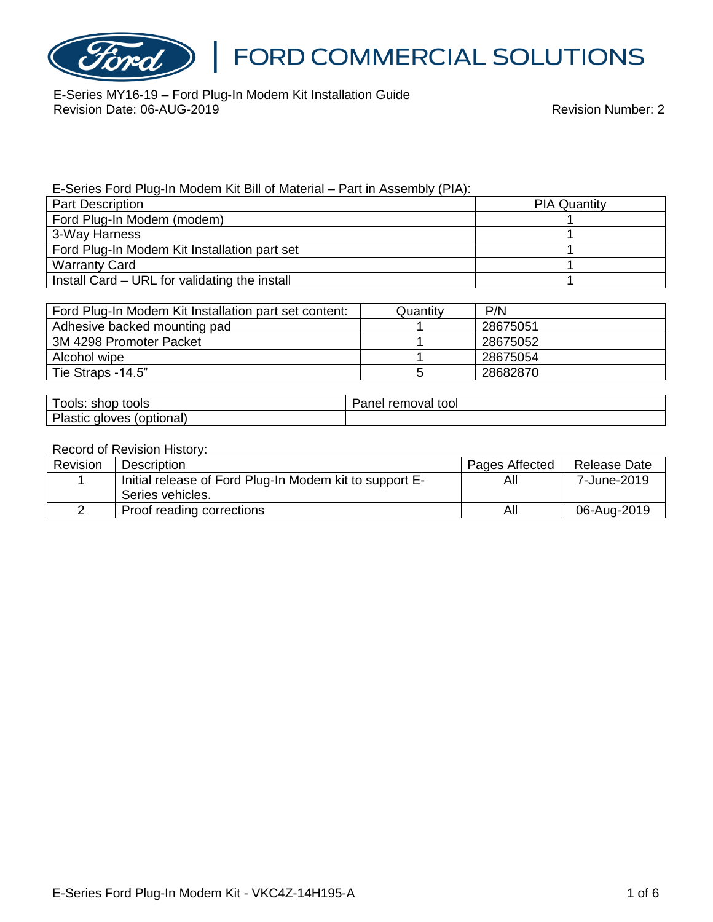

E-Series MY16-19 – Ford Plug-In Modem Kit Installation Guide Revision Date: 06-AUG-2019 Revision Number: 2

E-Series Ford Plug-In Modem Kit Bill of Material – Part in Assembly (PIA):

| <b>Part Description</b>                       | <b>PIA Quantity</b> |  |
|-----------------------------------------------|---------------------|--|
| Ford Plug-In Modem (modem)                    |                     |  |
| 3-Way Harness                                 |                     |  |
| Ford Plug-In Modem Kit Installation part set  |                     |  |
| <b>Warranty Card</b>                          |                     |  |
| Install Card – URL for validating the install |                     |  |

| Ford Plug-In Modem Kit Installation part set content: | Quantitv | P/N      |
|-------------------------------------------------------|----------|----------|
| Adhesive backed mounting pad                          |          | 28675051 |
| 3M 4298 Promoter Packet                               |          | 28675052 |
| Alcohol wipe                                          |          | 28675054 |
| Tie Straps -14.5"                                     |          | 28682870 |

| ools: shop tools             | removal tool<br>Panel |
|------------------------------|-----------------------|
| Plastic gloves<br>(optional) |                       |

#### Record of Revision History:

| Revision | Description                                             | Pages Affected | <b>Release Date</b> |
|----------|---------------------------------------------------------|----------------|---------------------|
|          | Initial release of Ford Plug-In Modem kit to support E- | All            | 7-June-2019         |
|          | Series vehicles.                                        |                |                     |
|          | Proof reading corrections                               | All            | 06-Aug-2019         |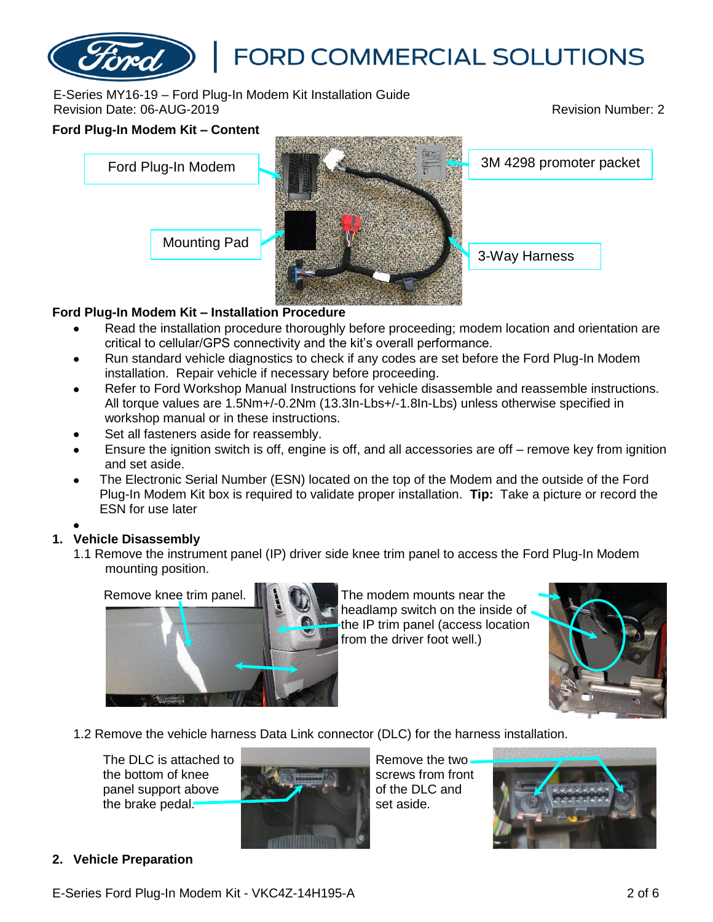### E-Series MY16-19 – Ford Plug-In Modem Kit Installation Guide Revision Date: 06-AUG-2019 Revision Number: 2

# **Ford Plug-In Modem Kit – Content** Mounting Pad 3-Way Harness Ford Plug-In Modem **3M 4298 promoter packet**

### **Ford Plug-In Modem Kit – Installation Procedure**

- Read the installation procedure thoroughly before proceeding; modem location and orientation are critical to cellular/GPS connectivity and the kit's overall performance.
- Run standard vehicle diagnostics to check if any codes are set before the Ford Plug-In Modem installation. Repair vehicle if necessary before proceeding.
- Refer to Ford Workshop Manual Instructions for vehicle disassemble and reassemble instructions. All torque values are 1.5Nm+/-0.2Nm (13.3In-Lbs+/-1.8In-Lbs) unless otherwise specified in workshop manual or in these instructions.
- Set all fasteners aside for reassembly.
- Ensure the ignition switch is off, engine is off, and all accessories are off remove key from ignition and set aside.
- The Electronic Serial Number (ESN) located on the top of the Modem and the outside of the Ford Plug-In Modem Kit box is required to validate proper installation. **Tip:** Take a picture or record the ESN for use later

### •

### **1. Vehicle Disassembly**

1.1 Remove the instrument panel (IP) driver side knee trim panel to access the Ford Plug-In Modem mounting position.



The modem mounts near the headlamp switch on the inside of the IP trim panel (access location from the driver foot well.)



1.2 Remove the vehicle harness Data Link connector (DLC) for the harness installation.

The DLC is attached to the bottom of knee panel support above the brake pedal.



Remove the two screws from front of the DLC and set aside.



### **2. Vehicle Preparation**

E-Series Ford Plug-In Modem Kit - VKC4Z-14H195-A 2 of 6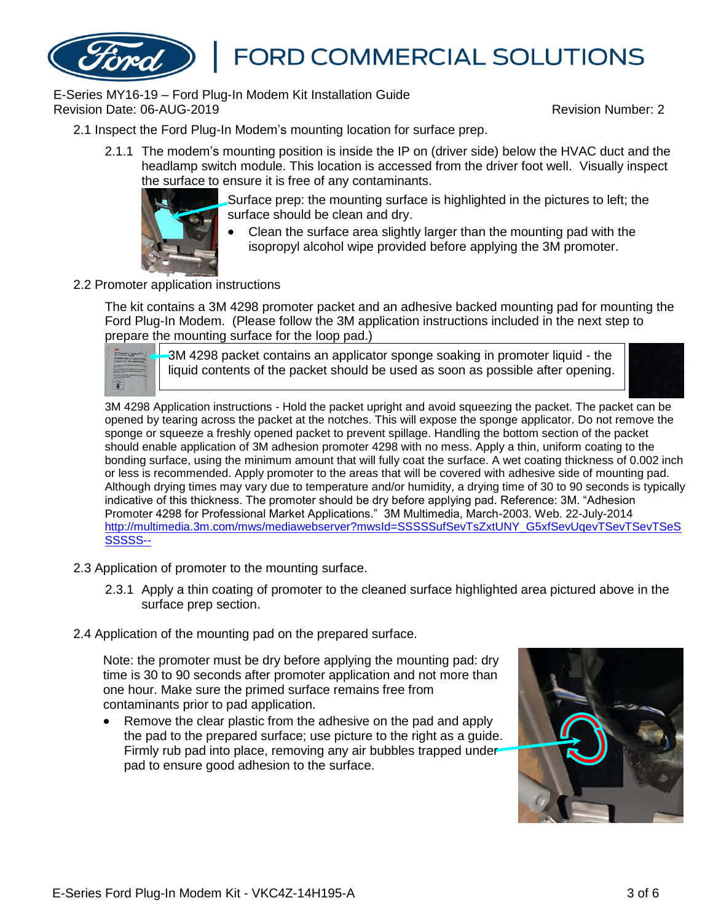E-Series MY16-19 – Ford Plug-In Modem Kit Installation Guide Revision Date: 06-AUG-2019 Revision Number: 2

- 2.1 Inspect the Ford Plug-In Modem's mounting location for surface prep.
	- 2.1.1 The modem's mounting position is inside the IP on (driver side) below the HVAC duct and the headlamp switch module. This location is accessed from the driver foot well. Visually inspect the surface to ensure it is free of any contaminants.



Surface prep: the mounting surface is highlighted in the pictures to left; the surface should be clean and dry.

- Clean the surface area slightly larger than the mounting pad with the isopropyl alcohol wipe provided before applying the 3M promoter.
- 2.2 Promoter application instructions

The kit contains a 3M 4298 promoter packet and an adhesive backed mounting pad for mounting the Ford Plug-In Modem. (Please follow the 3M application instructions included in the next step to prepare the mounting surface for the loop pad.)

3M 4298 packet contains an applicator sponge soaking in promoter liquid - the liquid contents of the packet should be used as soon as possible after opening.



3M 4298 Application instructions - Hold the packet upright and avoid squeezing the packet. The packet can be opened by tearing across the packet at the notches. This will expose the sponge applicator. Do not remove the sponge or squeeze a freshly opened packet to prevent spillage. Handling the bottom section of the packet should enable application of 3M adhesion promoter 4298 with no mess. Apply a thin, uniform coating to the bonding surface, using the minimum amount that will fully coat the surface. A wet coating thickness of 0.002 inch or less is recommended. Apply promoter to the areas that will be covered with adhesive side of mounting pad. Although drying times may vary due to temperature and/or humidity, a drying time of 30 to 90 seconds is typically indicative of this thickness. The promoter should be dry before applying pad. Reference: 3M. "Adhesion Promoter 4298 for Professional Market Applications." 3M Multimedia, March-2003. Web. 22-July-2014 [http://multimedia.3m.com/mws/mediawebserver?mwsId=SSSSSufSevTsZxtUNY\\_G5xfSevUqevTSevTSevTSeS](http://multimedia.3m.com/mws/mediawebserver?mwsId=SSSSSufSevTsZxtUNY_G5xfSevUqevTSevTSevTSeSSSSSS--) [SSSSS--](http://multimedia.3m.com/mws/mediawebserver?mwsId=SSSSSufSevTsZxtUNY_G5xfSevUqevTSevTSevTSeSSSSSS--)

- 2.3 Application of promoter to the mounting surface.
	- 2.3.1 Apply a thin coating of promoter to the cleaned surface highlighted area pictured above in the surface prep section.
- 2.4 Application of the mounting pad on the prepared surface.

Note: the promoter must be dry before applying the mounting pad: dry time is 30 to 90 seconds after promoter application and not more than one hour. Make sure the primed surface remains free from contaminants prior to pad application.

• Remove the clear plastic from the adhesive on the pad and apply the pad to the prepared surface; use picture to the right as a guide. Firmly rub pad into place, removing any air bubbles trapped under pad to ensure good adhesion to the surface.

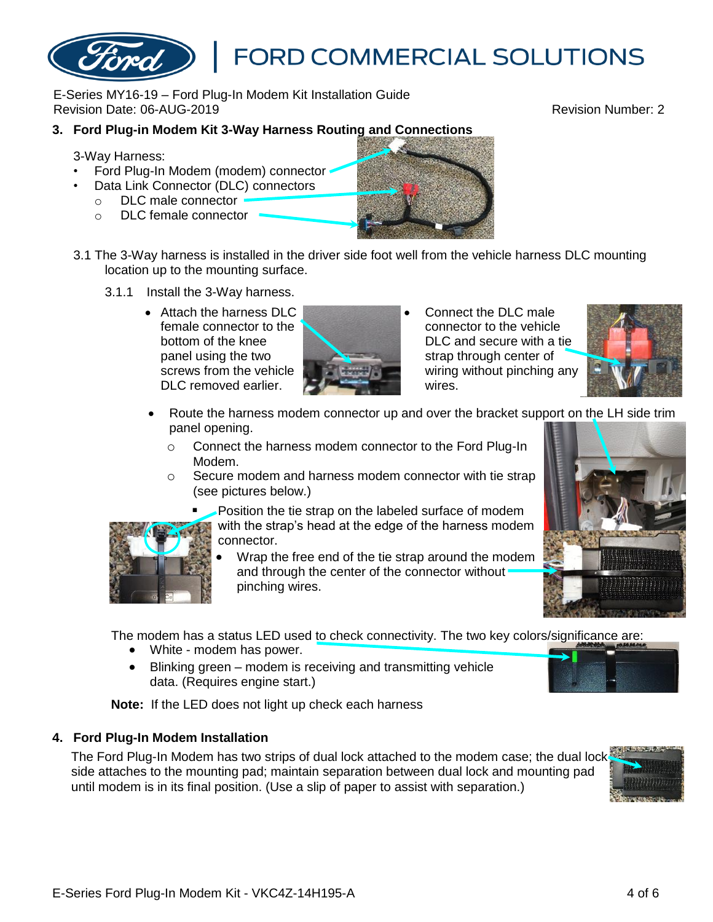E-Series MY16-19 – Ford Plug-In Modem Kit Installation Guide Revision Date: 06-AUG-2019 Revision Number: 2

### **3. Ford Plug-in Modem Kit 3-Way Harness Routing and Connections**

3-Way Harness:

- Ford Plug-In Modem (modem) connector
- Data Link Connector (DLC) connectors
	- o DLC male connector
	- o DLC female connector



**FORD COMMERCIAL SOLUTIONS** 

- 3.1 The 3-Way harness is installed in the driver side foot well from the vehicle harness DLC mounting location up to the mounting surface.
	- 3.1.1 Install the 3-Way harness.
		- Attach the harness DLC female connector to the bottom of the knee panel using the two screws from the vehicle DLC removed earlier.



• Connect the DLC male connector to the vehicle DLC and secure with a tie strap through center of wiring without pinching any wires.



- Route the harness modem connector up and over the bracket support on the LH side trim panel opening.
	- o Connect the harness modem connector to the Ford Plug-In Modem.
	- Secure modem and harness modem connector with tie strap (see pictures below.)
		- Position the tie strap on the labeled surface of modem with the strap's head at the edge of the harness modem connector.
			- Wrap the free end of the tie strap around the modem and through the center of the connector without pinching wires.

The modem has a status LED used to check connectivity. The two key colors/significance are:

- White modem has power.
- Blinking green modem is receiving and transmitting vehicle data. (Requires engine start.)

**Note:** If the LED does not light up check each harness

### **4. Ford Plug-In Modem Installation**

The Ford Plug-In Modem has two strips of dual lock attached to the modem case; the dual lock side attaches to the mounting pad; maintain separation between dual lock and mounting pad until modem is in its final position. (Use a slip of paper to assist with separation.)







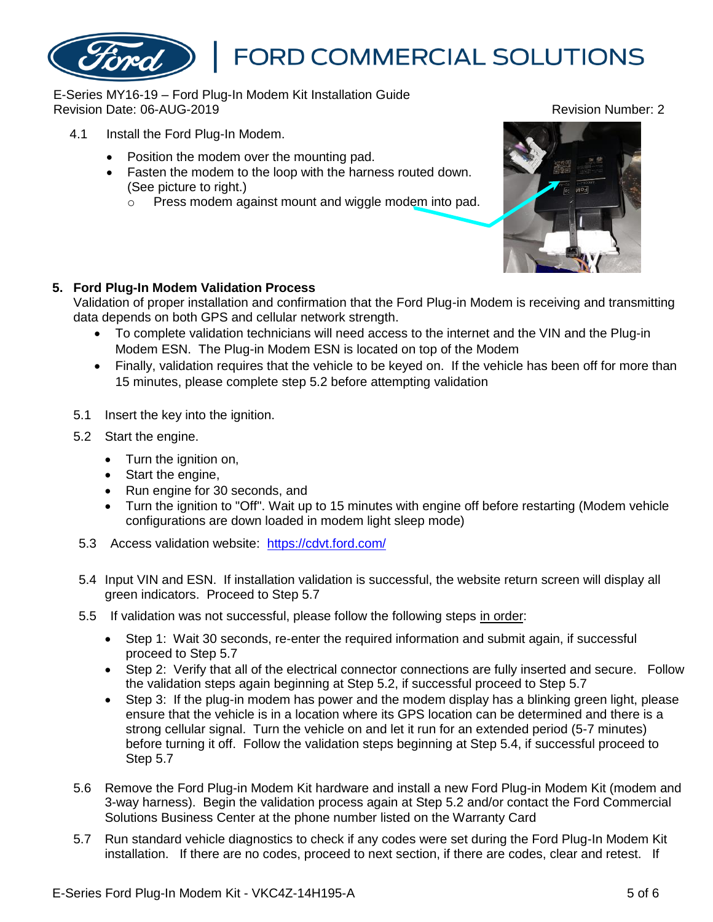### E-Series MY16-19 – Ford Plug-In Modem Kit Installation Guide Revision Date: 06-AUG-2019 Revision Number: 2

- 4.1 Install the Ford Plug-In Modem.
	- Position the modem over the mounting pad.
	- Fasten the modem to the loop with the harness routed down. (See picture to right.)
		- o Press modem against mount and wiggle modem into pad.



### **5. Ford Plug-In Modem Validation Process**

Validation of proper installation and confirmation that the Ford Plug-in Modem is receiving and transmitting data depends on both GPS and cellular network strength.

- To complete validation technicians will need access to the internet and the VIN and the Plug-in Modem ESN. The Plug-in Modem ESN is located on top of the Modem
- Finally, validation requires that the vehicle to be keyed on. If the vehicle has been off for more than 15 minutes, please complete step 5.2 before attempting validation
- 5.1 Insert the key into the ignition.
- 5.2 Start the engine.
	- Turn the ignition on,
	- Start the engine,
	- Run engine for 30 seconds, and
	- Turn the ignition to "Off". Wait up to 15 minutes with engine off before restarting (Modem vehicle configurations are down loaded in modem light sleep mode)
- 5.3 Access validation website: <https://cdvt.ford.com/>
- 5.4 Input VIN and ESN. If installation validation is successful, the website return screen will display all green indicators. Proceed to Step 5.7
- 5.5 If validation was not successful, please follow the following steps in order:
	- Step 1: Wait 30 seconds, re-enter the required information and submit again, if successful proceed to Step 5.7
	- Step 2: Verify that all of the electrical connector connections are fully inserted and secure. Follow the validation steps again beginning at Step 5.2, if successful proceed to Step 5.7
	- Step 3: If the plug-in modem has power and the modem display has a blinking green light, please ensure that the vehicle is in a location where its GPS location can be determined and there is a strong cellular signal. Turn the vehicle on and let it run for an extended period (5-7 minutes) before turning it off. Follow the validation steps beginning at Step 5.4, if successful proceed to Step 5.7
- 5.6 Remove the Ford Plug-in Modem Kit hardware and install a new Ford Plug-in Modem Kit (modem and 3-way harness). Begin the validation process again at Step 5.2 and/or contact the Ford Commercial Solutions Business Center at the phone number listed on the Warranty Card
- 5.7 Run standard vehicle diagnostics to check if any codes were set during the Ford Plug-In Modem Kit installation. If there are no codes, proceed to next section, if there are codes, clear and retest. If